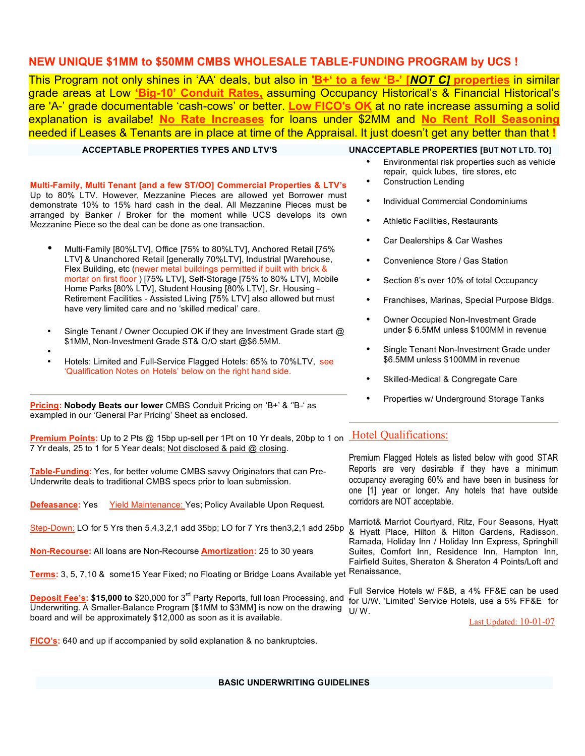## **NEW UNIQUE \$1MM to \$50MM CMBS WHOLESALE TABLE-FUNDING PROGRAM by UCS !**

This Program not only shines in 'AA' deals, but also in **'B+' to a few 'B-' [***NOT C]* **properties** in similar grade areas at Low **'Big-10' Conduit Rates,** assuming Occupancy Historical's & Financial Historical's are 'A-' grade documentable 'cash-cows' or better. **Low FICO's OK** at no rate increase assuming a solid explanation is availabe! **No Rate Increases** for loans under \$2MM and **No Rent Roll Seasoning** needed if Leases & Tenants are in place at time of the Appraisal. It just doesn't get any better than that **!**

#### **ACCEPTABLE PROPERTIES TYPES AND LTV'S UNACCEPTABLE PROPERTIES [BUT NOT LTD. TO]**

#### **Multi-Family, Multi Tenant [and a few ST/OO] Commercial Properties & LTV's** Up to 80% LTV. However, Mezzanine Pieces are allowed yet Borrower must

demonstrate 10% to 15% hard cash in the deal. All Mezzanine Pieces must be arranged by Banker / Broker for the moment while UCS develops its own Mezzanine Piece so the deal can be done as one transaction.

- Multi-Family [80%LTV], Office [75% to 80%LTV], Anchored Retail [75% LTV] & Unanchored Retail [generally 70%LTV], Industrial [Warehouse, Flex Building, etc (newer metal buildings permitted if built with brick & mortar on first floor ) [75% LTV], Self-Storage [75% to 80% LTV], Mobile Home Parks [80% LTV], Student Housing [80% LTV], Sr. Housing - Retirement Facilities - Assisted Living [75% LTV] also allowed but must have very limited care and no 'skilled medical' care.
- Single Tenant / Owner Occupied OK if they are Investment Grade start @ \$1MM, Non-Investment Grade ST& O/O start @\$6.5MM.
- • Hotels: Limited and Full-Service Flagged Hotels: 65% to 70%LTV, see 'Qualification Notes on Hotels' below on the right hand side.

**Pricing: Nobody Beats our lower** CMBS Conduit Pricing on 'B+' & ''B-' as exampled in our 'General Par Pricing' Sheet as enclosed.

**Premium Points:** Up to 2 Pts @ 15bp up-sell per 1Pt on 10 Yr deals, 20bp to 1 on Hotel Qualifications: 7 Yr deals, 25 to 1 for 5 Year deals; Not disclosed & paid @ closing.

**Table-Funding:** Yes, for better volume CMBS savvy Originators that can Pre-Underwrite deals to traditional CMBS specs prior to loan submission.

**Defeasance:** Yes Yield Maintenance: Yes; Policy Available Upon Request.

Step-Down: LO for 5 Yrs then 5,4,3,2,1 add 35bp; LO for 7 Yrs then3,2,1 add 25bp

**Non-Recourse:** All loans are Non-Recourse **Amortization:** 25 to 30 years

**Terms:** 3, 5, 7,10 & some15 Year Fixed; no Floating or Bridge Loans Available yet

**Deposit Fee's: \$15,000 to** \$20,000 for 3<sup>rd</sup> Party Reports, full loan Processing, and Underwriting. A Smaller-Balance Program [\$1MM to \$3MM] is now on the drawing board and will be approximately \$12,000 as soon as it is available.

**FICO's:** 640 and up if accompanied by solid explanation & no bankruptcies.

- Environmental risk properties such as vehicle repair, quick lubes, tire stores, etc
- Construction Lending
- Individual Commercial Condominiums
- Athletic Facilities, Restaurants
- Car Dealerships & Car Washes
- Convenience Store / Gas Station
- Section 8's over 10% of total Occupancy
- Franchises, Marinas, Special Purpose Bldgs.
- Owner Occupied Non-Investment Grade under \$ 6.5MM unless \$100MM in revenue
- Single Tenant Non-Investment Grade under \$6.5MM unless \$100MM in revenue
- Skilled-Medical & Congregate Care
- Properties w/ Underground Storage Tanks

Premium Flagged Hotels as listed below with good STAR Reports are very desirable if they have a minimum occupancy averaging 60% and have been in business for one [1] year or longer. Any hotels that have outside corridors are NOT acceptable.

Marriot& Marriot Courtyard, Ritz, Four Seasons, Hyatt & Hyatt Place, Hilton & Hilton Gardens, Radisson, Ramada, Holiday Inn / Holiday Inn Express, Springhill Suites, Comfort Inn, Residence Inn, Hampton Inn, Fairfield Suites, Sheraton & Sheraton 4 Points/Loft and Renaissance,

Full Service Hotels w/ F&B, a 4% FF&E can be used for U/W. 'Limited' Service Hotels, use a 5% FF&E for U/ W.

Last Updated: 10-01-07

**BASIC UNDERWRITING GUIDELINES**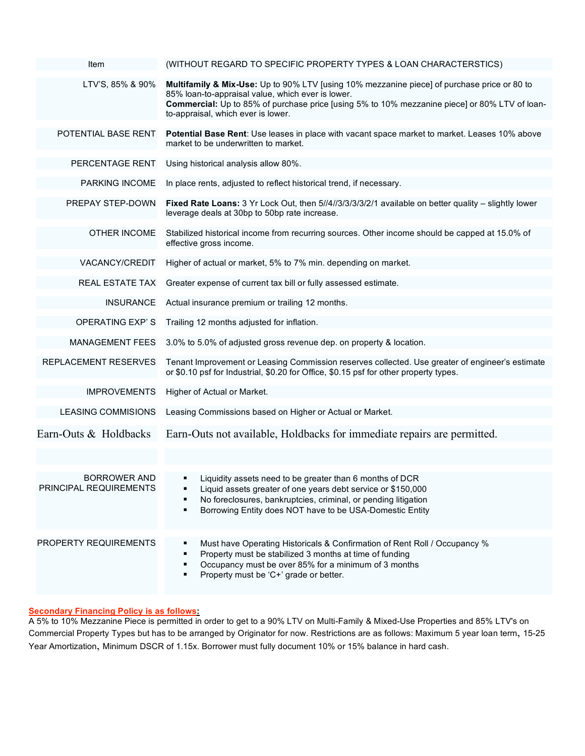| Item                                   | (WITHOUT REGARD TO SPECIFIC PROPERTY TYPES & LOAN CHARACTERSTICS)                                                                                                                                                                                                                       |
|----------------------------------------|-----------------------------------------------------------------------------------------------------------------------------------------------------------------------------------------------------------------------------------------------------------------------------------------|
| LTV'S, 85% & 90%                       | Multifamily & Mix-Use: Up to 90% LTV [using 10% mezzanine piece] of purchase price or 80 to<br>85% loan-to-appraisal value, which ever is lower.<br>Commercial: Up to 85% of purchase price [using 5% to 10% mezzanine piece] or 80% LTV of loan-<br>to-appraisal, which ever is lower. |
| POTENTIAL BASE RENT                    | <b>Potential Base Rent:</b> Use leases in place with vacant space market to market. Leases 10% above<br>market to be underwritten to market.                                                                                                                                            |
| PERCENTAGE RENT                        | Using historical analysis allow 80%.                                                                                                                                                                                                                                                    |
| PARKING INCOME                         | In place rents, adjusted to reflect historical trend, if necessary.                                                                                                                                                                                                                     |
| PREPAY STEP-DOWN                       | Fixed Rate Loans: 3 Yr Lock Out, then 5//4//3/3/3/3/2/1 available on better quality - slightly lower<br>leverage deals at 30bp to 50bp rate increase.                                                                                                                                   |
| OTHER INCOME                           | Stabilized historical income from recurring sources. Other income should be capped at 15.0% of<br>effective gross income.                                                                                                                                                               |
| VACANCY/CREDIT                         | Higher of actual or market, 5% to 7% min. depending on market.                                                                                                                                                                                                                          |
| REAL ESTATE TAX                        | Greater expense of current tax bill or fully assessed estimate.                                                                                                                                                                                                                         |
| <b>INSURANCE</b>                       | Actual insurance premium or trailing 12 months.                                                                                                                                                                                                                                         |
| <b>OPERATING EXP'S</b>                 | Trailing 12 months adjusted for inflation.                                                                                                                                                                                                                                              |
| <b>MANAGEMENT FEES</b>                 | 3.0% to 5.0% of adjusted gross revenue dep. on property & location.                                                                                                                                                                                                                     |
| REPLACEMENT RESERVES                   | Tenant Improvement or Leasing Commission reserves collected. Use greater of engineer's estimate<br>or \$0.10 psf for Industrial, \$0.20 for Office, \$0.15 psf for other property types.                                                                                                |
| <b>IMPROVEMENTS</b>                    | Higher of Actual or Market.                                                                                                                                                                                                                                                             |
| <b>LEASING COMMISIONS</b>              | Leasing Commissions based on Higher or Actual or Market.                                                                                                                                                                                                                                |
| Earn-Outs & Holdbacks                  | Earn-Outs not available, Holdbacks for immediate repairs are permitted.                                                                                                                                                                                                                 |
|                                        |                                                                                                                                                                                                                                                                                         |
| BORROWER AND<br>PRINCIPAL REQUIREMENTS | Liquidity assets need to be greater than 6 months of DCR<br>Liquid assets greater of one years debt service or \$150,000<br>No foreclosures, bankruptcies, criminal, or pending litigation<br>Borrowing Entity does NOT have to be USA-Domestic Entity                                  |
| PROPERTY REQUIREMENTS                  | Must have Operating Historicals & Confirmation of Rent Roll / Occupancy %<br>Property must be stabilized 3 months at time of funding<br>Occupancy must be over 85% for a minimum of 3 months<br>Property must be 'C+' grade or better.                                                  |

## **Secondary Financing Policy is as follows:**

A 5% to 10% Mezzanine Piece is permitted in order to get to a 90% LTV on Multi-Family & Mixed-Use Properties and 85% LTV's on Commercial Property Types but has to be arranged by Originator for now. Restrictions are as follows: Maximum 5 year loan term, 15-25 Year Amortization, Minimum DSCR of 1.15x. Borrower must fully document 10% or 15% balance in hard cash.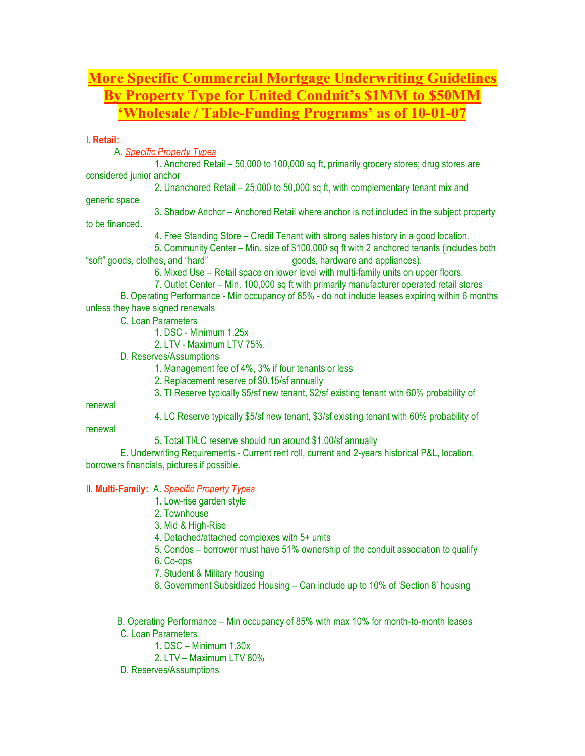# **More Specific Commercial Mortgage Underwriting Guidelines By Property Type for United Conduit's \$1MM to \$50MM 'Wholesale / Table-Funding Programs' as of 10-01-07**

### I. **Retail:**

A. *Specific Property Types*

1. Anchored Retail – 50,000 to 100,000 sq ft, primarily grocery stores; drug stores are considered junior anchor

2. Unanchored Retail – 25,000 to 50,000 sq ft, with complementary tenant mix and

generic space

3. Shadow Anchor – Anchored Retail where anchor is not included in the subject property

to be financed.

4. Free Standing Store – Credit Tenant with strong sales history in a good location.

5. Community Center – Min. size of \$100,000 sq ft with 2 anchored tenants (includes both "soft" goods, clothes, and "hard" goods, hardware and appliances).

6. Mixed Use – Retail space on lower level with multi-family units on upper floors.

7. Outlet Center – Min. 100,000 sq ft with primarily manufacturer operated retail stores

B. Operating Performance - Min occupancy of 85% - do not include leases expiring within 6 months unless they have signed renewals

C. Loan Parameters

1. DSC - Minimum 1.25x

2. LTV - Maximum LTV 75%.

D. Reserves/Assumptions

1. Management fee of 4%, 3% if four tenants or less

2. Replacement reserve of \$0.15/sf annually

3. TI Reserve typically \$5/sf new tenant, \$2/sf existing tenant with 60% probability of

renewal

4. LC Reserve typically \$5/sf new tenant, \$3/sf existing tenant with 60% probability of

renewal

5. Total TI/LC reserve should run around \$1.00/sf annually

E. Underwriting Requirements - Current rent roll, current and 2-years historical P&L, location, borrowers financials, pictures if possible.

II. **Multi-Family:** A. *Specific Property Types*

1. Low-rise garden style

2. Townhouse

3. Mid & High-Rise

4. Detached/attached complexes with 5+ units

5. Condos – borrower must have 51% ownership of the conduit association to qualify

6. Co-ops

7. Student & Military housing

8. Government Subsidized Housing – Can include up to 10% of 'Section 8' housing

B. Operating Performance – Min occupancy of 85% with max 10% for month-to-month leases C. Loan Parameters

1. DSC – Minimum 1.30x

2. LTV – Maximum LTV 80%

D. Reserves/Assumptions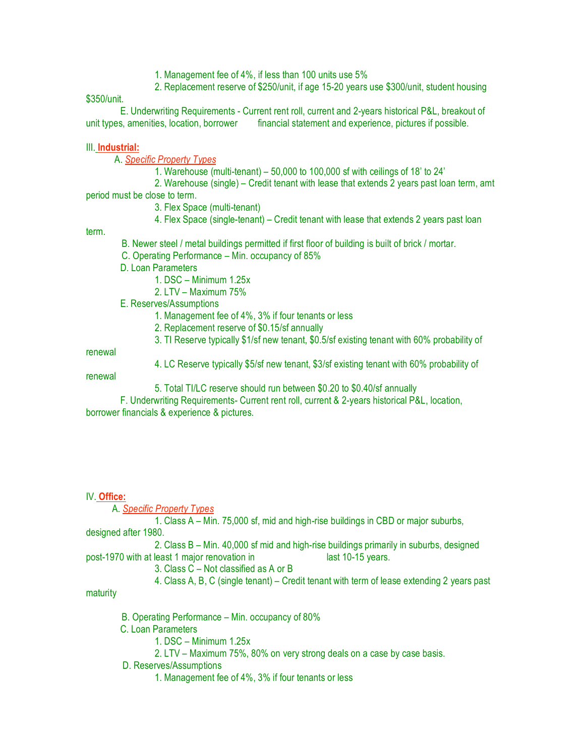1. Management fee of 4%, if less than 100 units use 5%

2. Replacement reserve of \$250/unit, if age 15-20 years use \$300/unit, student housing

\$350/unit.

E. Underwriting Requirements - Current rent roll, current and 2-years historical P&L, breakout of unit types, amenities, location, borrower financial statement and experience, pictures if possible.

### III. **Industrial:**

A. *Specific Property Types*

1. Warehouse (multi-tenant) – 50,000 to 100,000 sf with ceilings of 18' to 24'

2. Warehouse (single) – Credit tenant with lease that extends 2 years past loan term, amt period must be close to term.

3. Flex Space (multi-tenant)

4. Flex Space (single-tenant) – Credit tenant with lease that extends 2 years past loan

term.

- B. Newer steel / metal buildings permitted if first floor of building is built of brick / mortar.
- C. Operating Performance Min. occupancy of 85%
- D. Loan Parameters
	- 1. DSC Minimum 1.25x
	- 2. LTV Maximum 75%
- E. Reserves/Assumptions
	- 1. Management fee of 4%, 3% if four tenants or less
	- 2. Replacement reserve of \$0.15/sf annually
	- 3. TI Reserve typically \$1/sf new tenant, \$0.5/sf existing tenant with 60% probability of

renewal

4. LC Reserve typically \$5/sf new tenant, \$3/sf existing tenant with 60% probability of

renewal

5. Total TI/LC reserve should run between \$0.20 to \$0.40/sf annually

F. Underwriting Requirements- Current rent roll, current & 2-years historical P&L, location, borrower financials & experience & pictures.

#### IV. **Office:**

A. *Specific Property Types*

1. Class A – Min. 75,000 sf, mid and high-rise buildings in CBD or major suburbs, designed after 1980.

2. Class B – Min. 40,000 sf mid and high-rise buildings primarily in suburbs, designed post-1970 with at least 1 major renovation in last 10-15 years.

3. Class C – Not classified as A or B

4. Class A, B, C (single tenant) – Credit tenant with term of lease extending 2 years past

maturity

B. Operating Performance – Min. occupancy of 80%

C. Loan Parameters

- 1. DSC Minimum 1.25x
- 2. LTV Maximum 75%, 80% on very strong deals on a case by case basis.
- D. Reserves/Assumptions
	- 1. Management fee of 4%, 3% if four tenants or less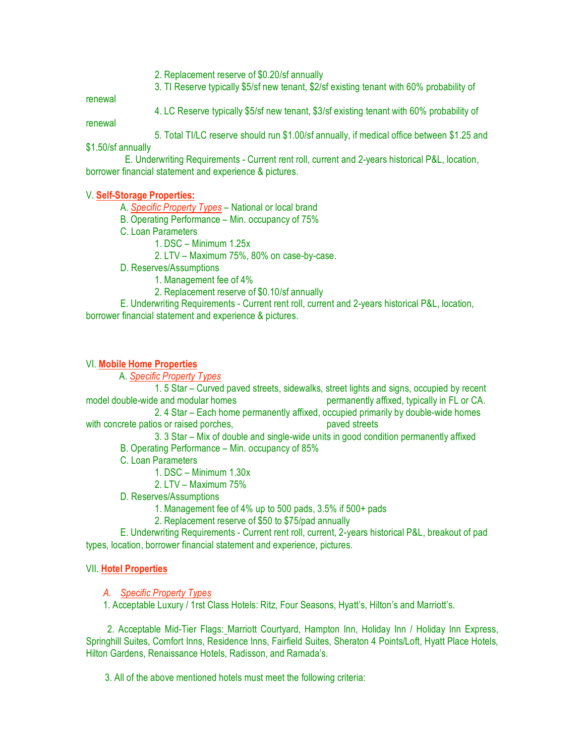2. Replacement reserve of \$0.20/sf annually

3. TI Reserve typically \$5/sf new tenant, \$2/sf existing tenant with 60% probability of

renewal

4. LC Reserve typically \$5/sf new tenant, \$3/sf existing tenant with 60% probability of

renewal

5. Total TI/LC reserve should run \$1.00/sf annually, if medical office between \$1.25 and

\$1.50/sf annually

E. Underwriting Requirements - Current rent roll, current and 2-years historical P&L, location, borrower financial statement and experience & pictures.

#### V. **Self-Storage Properties:**

A. *Specific Property Types* – National or local brand

- B. Operating Performance Min. occupancy of 75%
- C. Loan Parameters
	- 1. DSC Minimum 1.25x
	- 2. LTV Maximum 75%, 80% on case-by-case.
- D. Reserves/Assumptions
	- 1. Management fee of 4%
	- 2. Replacement reserve of \$0.10/sf annually

E. Underwriting Requirements - Current rent roll, current and 2-years historical P&L, location, borrower financial statement and experience & pictures.

#### VI. **Mobile Home Properties**

A. *Specific Property Types*

1. 5 Star – Curved paved streets, sidewalks, street lights and signs, occupied by recent model double-wide and modular homes permanently affixed, typically in FL or CA.

2. 4 Star – Each home permanently affixed, occupied primarily by double-wide homes with concrete patios or raised porches, paved streets paved streets

3. 3 Star – Mix of double and single-wide units in good condition permanently affixed

- B. Operating Performance Min. occupancy of 85%
- C. Loan Parameters
	- 1. DSC Minimum 1.30x
	- 2. LTV Maximum 75%
- D. Reserves/Assumptions
	- 1. Management fee of 4% up to 500 pads, 3.5% if 500+ pads
	- 2. Replacement reserve of \$50 to \$75/pad annually

E. Underwriting Requirements - Current rent roll, current, 2-years historical P&L, breakout of pad types, location, borrower financial statement and experience, pictures.

#### VII. **Hotel Properties**

*A. Specific Property Types*

1. Acceptable Luxury / 1rst Class Hotels: Ritz, Four Seasons, Hyatt's, Hilton's and Marriott's.

2. Acceptable Mid-Tier Flags: Marriott Courtyard, Hampton Inn, Holiday Inn / Holiday Inn Express, Springhill Suites, Comfort Inns, Residence Inns, Fairfield Suites, Sheraton 4 Points/Loft, Hyatt Place Hotels, Hilton Gardens, Renaissance Hotels, Radisson, and Ramada's.

3. All of the above mentioned hotels must meet the following criteria: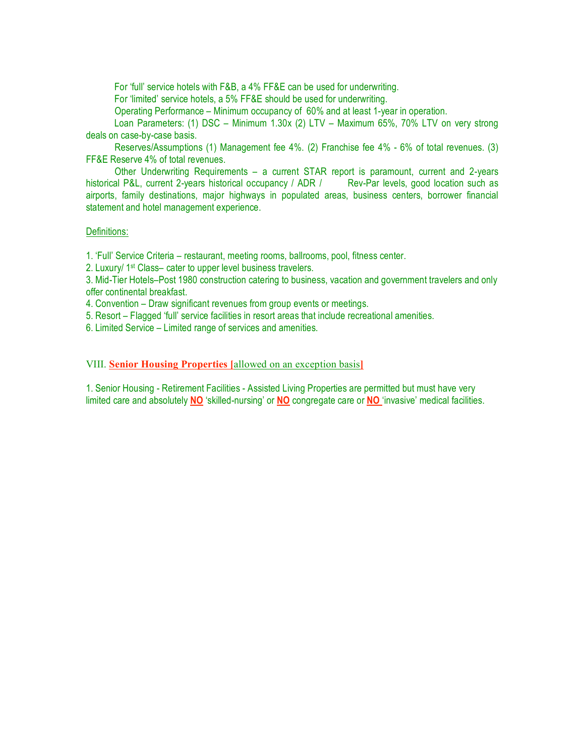For 'full' service hotels with F&B, a 4% FF&E can be used for underwriting.

For 'limited' service hotels, a 5% FF&E should be used for underwriting.

Operating Performance – Minimum occupancy of 60% and at least 1-year in operation.

Loan Parameters: (1) DSC – Minimum 1.30x (2) LTV – Maximum 65%, 70% LTV on very strong deals on case-by-case basis.

Reserves/Assumptions (1) Management fee 4%. (2) Franchise fee 4% - 6% of total revenues. (3) FF&E Reserve 4% of total revenues.

Other Underwriting Requirements – a current STAR report is paramount, current and 2-years historical P&L, current 2-years historical occupancy / ADR / Rev-Par levels, good location such as airports, family destinations, major highways in populated areas, business centers, borrower financial statement and hotel management experience.

#### Definitions:

1. 'Full' Service Criteria – restaurant, meeting rooms, ballrooms, pool, fitness center.

2. Luxury/ 1st Class– cater to upper level business travelers.

3. Mid-Tier Hotels–Post 1980 construction catering to business, vacation and government travelers and only offer continental breakfast.

4. Convention – Draw significant revenues from group events or meetings.

5. Resort – Flagged 'full' service facilities in resort areas that include recreational amenities.

6. Limited Service – Limited range of services and amenities.

VIII. **Senior Housing Properties [**allowed on an exception basis**]**

1. Senior Housing - Retirement Facilities - Assisted Living Properties are permitted but must have very limited care and absolutely **NO** 'skilled-nursing' or **NO** congregate care or **NO** 'invasive' medical facilities.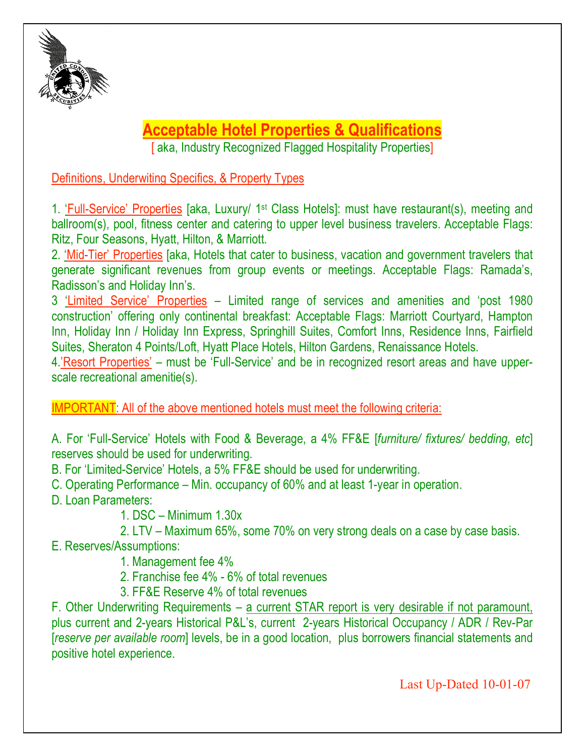

# **Acceptable Hotel Properties & Qualifications**

[aka, Industry Recognized Flagged Hospitality Properties]

Definitions, Underwiting Specifics, & Property Types

1. 'Full-Service' Properties [aka, Luxury/ 1st Class Hotels]: must have restaurant(s), meeting and ballroom(s), pool, fitness center and catering to upper level business travelers. Acceptable Flags: Ritz, Four Seasons, Hyatt, Hilton, & Marriott.

2. 'Mid-Tier' Properties [aka, Hotels that cater to business, vacation and government travelers that generate significant revenues from group events or meetings. Acceptable Flags: Ramada's, Radisson's and Holiday Inn's.

3 'Limited Service' Properties – Limited range of services and amenities and 'post 1980 construction' offering only continental breakfast: Acceptable Flags: Marriott Courtyard, Hampton Inn, Holiday Inn / Holiday Inn Express, Springhill Suites, Comfort Inns, Residence Inns, Fairfield Suites, Sheraton 4 Points/Loft, Hyatt Place Hotels, Hilton Gardens, Renaissance Hotels.

4.'Resort Properties' – must be 'Full-Service' and be in recognized resort areas and have upperscale recreational amenitie(s).

IMPORTANT: All of the above mentioned hotels must meet the following criteria:

A. For 'Full-Service' Hotels with Food & Beverage, a 4% FF&E [*furniture/ fixtures/ bedding, etc*] reserves should be used for underwriting.

B. For 'Limited-Service' Hotels, a 5% FF&E should be used for underwriting.

C. Operating Performance – Min. occupancy of 60% and at least 1-year in operation.

D. Loan Parameters:

1. DSC – Minimum 1.30x

2. LTV – Maximum 65%, some 70% on very strong deals on a case by case basis.

E. Reserves/Assumptions:

1. Management fee 4%

2. Franchise fee 4% - 6% of total revenues

3. FF&E Reserve 4% of total revenues

F. Other Underwriting Requirements – a current STAR report is very desirable if not paramount, plus current and 2-years Historical P&L's, current 2-years Historical Occupancy / ADR / Rev-Par [*reserve per available room*] levels, be in a good location, plus borrowers financial statements and positive hotel experience.

Last Up-Dated 10-01-07